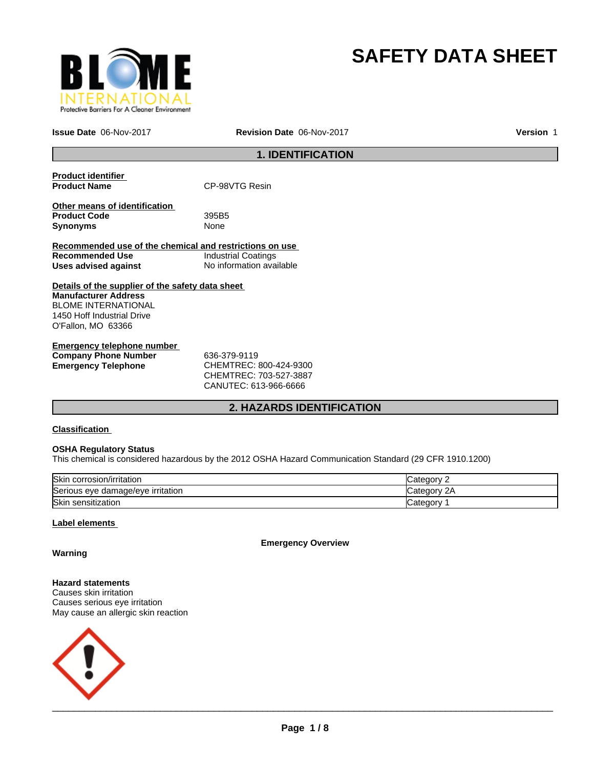

# **SAFETY DATA SHEET**

**Issue Date** 06-Nov-2017 **Revision Date** 06-Nov-2017 **Version** 1

# **1. IDENTIFICATION**

| <b>Product identifier</b><br><b>Product Name</b>        | CP-98VTG Resin             |
|---------------------------------------------------------|----------------------------|
|                                                         |                            |
| Other means of identification<br><b>Product Code</b>    | 395B5                      |
| <b>Synonyms</b>                                         | None                       |
| Recommended use of the chemical and restrictions on use |                            |
| Recommended Use                                         | <b>Industrial Coatings</b> |
| Uses advised against                                    | No information available   |
| Details of the supplier of the safety data sheet        |                            |
| <b>Manufacturer Address</b>                             |                            |
| <b>BLOME INTERNATIONAL</b>                              |                            |
| 1450 Hoff Industrial Drive                              |                            |
| O'Fallon, MO 63366                                      |                            |
|                                                         |                            |

| Emergency telephone number  |                            |
|-----------------------------|----------------------------|
| <b>Company Phone Number</b> | 636-379-9119               |
| Emergency Telephone         | CHEMTREC: 800-424-9300     |
|                             | CUTEM T D E C·702 E27 2007 |

CHEMTREC: 703-527-3887 CANUTEC: 613-966-6666

# **2. HAZARDS IDENTIFICATION**

# **Classification**

# **OSHA Regulatory Status**

This chemical is considered hazardous by the 2012 OSHA Hazard Communication Standard (29 CFR 1910.1200)

| <b>Skin</b><br>corrosion/irritation ا | atenory         |
|---------------------------------------|-----------------|
| Serious eye damage/eye irritation     | 2Α<br>∵ategorvٽ |
| Skin<br>ı sensitization               | ategorٽ         |

# **Label elements**

**Emergency Overview**

**Warning**

**Hazard statements** Causes skin irritation Causes serious eye irritation May cause an allergic skin reaction

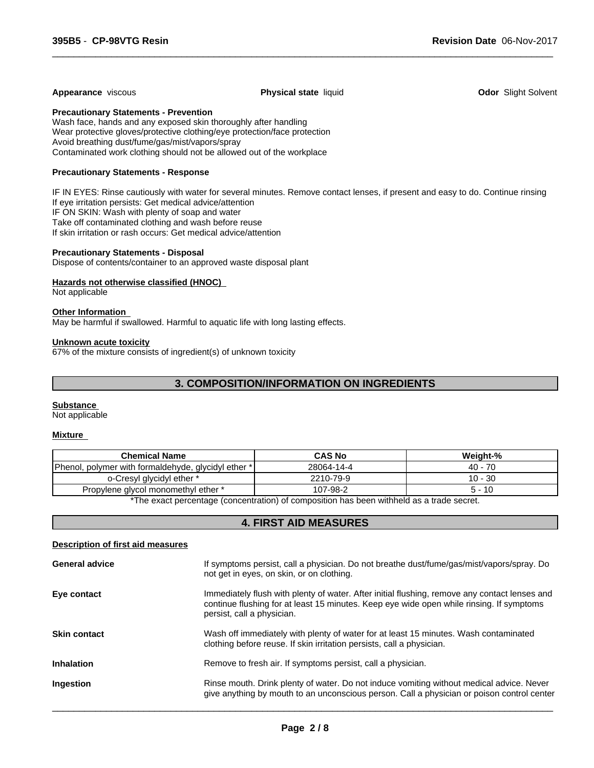#### **Appearance** viscous **Physical state** liquid **Odor** Slight Solvent

 $\overline{\phantom{a}}$  ,  $\overline{\phantom{a}}$  ,  $\overline{\phantom{a}}$  ,  $\overline{\phantom{a}}$  ,  $\overline{\phantom{a}}$  ,  $\overline{\phantom{a}}$  ,  $\overline{\phantom{a}}$  ,  $\overline{\phantom{a}}$  ,  $\overline{\phantom{a}}$  ,  $\overline{\phantom{a}}$  ,  $\overline{\phantom{a}}$  ,  $\overline{\phantom{a}}$  ,  $\overline{\phantom{a}}$  ,  $\overline{\phantom{a}}$  ,  $\overline{\phantom{a}}$  ,  $\overline{\phantom{a}}$ 

**Precautionary Statements - Prevention**

Wash face, hands and any exposed skin thoroughly after handling Wear protective gloves/protective clothing/eye protection/face protection Avoid breathing dust/fume/gas/mist/vapors/spray Contaminated work clothing should not be allowed out of the workplace

# **Precautionary Statements - Response**

IF IN EYES: Rinse cautiously with water for several minutes. Remove contact lenses, if present and easy to do. Continue rinsing If eye irritation persists: Get medical advice/attention IF ON SKIN: Wash with plenty of soap and water Take off contaminated clothing and wash before reuse If skin irritation or rash occurs: Get medical advice/attention

# **Precautionary Statements - Disposal**

Dispose of contents/container to an approved waste disposal plant

# **Hazards not otherwise classified (HNOC)**

Not applicable

# **Other Information**

May be harmful if swallowed. Harmful to aquatic life with long lasting effects.

#### **Unknown acute toxicity**

67% of the mixture consists of ingredient(s) of unknown toxicity

# **3. COMPOSITION/INFORMATION ON INGREDIENTS**

#### **Substance**

Not applicable

# **Mixture**

| <b>Chemical Name</b>                                                                                    | <b>CAS No</b> | Weight-%  |  |  |
|---------------------------------------------------------------------------------------------------------|---------------|-----------|--|--|
| Phenol,<br>i, polymer with formaldehyde, glycidyl ether *                                               | 28064-14-4    | $40 - 70$ |  |  |
| o-Cresyl glycidyl ether *                                                                               | 2210-79-9     | $10 - 30$ |  |  |
| Propylene glycol monomethyl ether *                                                                     | 107-98-2      | ั - 10    |  |  |
| ∦The concert a cassate as focassements a\ of seasons there have notified the control of the decision of |               |           |  |  |

\*The exact percentage (concentration) of composition has been withheld as a trade secret.

# **4. FIRST AID MEASURES**

# **Description of first aid measures**

| <b>General advice</b> | If symptoms persist, call a physician. Do not breathe dust/fume/gas/mist/vapors/spray. Do<br>not get in eyes, on skin, or on clothing.                                                                                  |
|-----------------------|-------------------------------------------------------------------------------------------------------------------------------------------------------------------------------------------------------------------------|
| Eye contact           | Immediately flush with plenty of water. After initial flushing, remove any contact lenses and<br>continue flushing for at least 15 minutes. Keep eye wide open while rinsing. If symptoms<br>persist, call a physician. |
| <b>Skin contact</b>   | Wash off immediately with plenty of water for at least 15 minutes. Wash contaminated<br>clothing before reuse. If skin irritation persists, call a physician.                                                           |
| <b>Inhalation</b>     | Remove to fresh air. If symptoms persist, call a physician.                                                                                                                                                             |
| Ingestion             | Rinse mouth. Drink plenty of water. Do not induce vomiting without medical advice. Never<br>give anything by mouth to an unconscious person. Call a physician or poison control center                                  |
|                       |                                                                                                                                                                                                                         |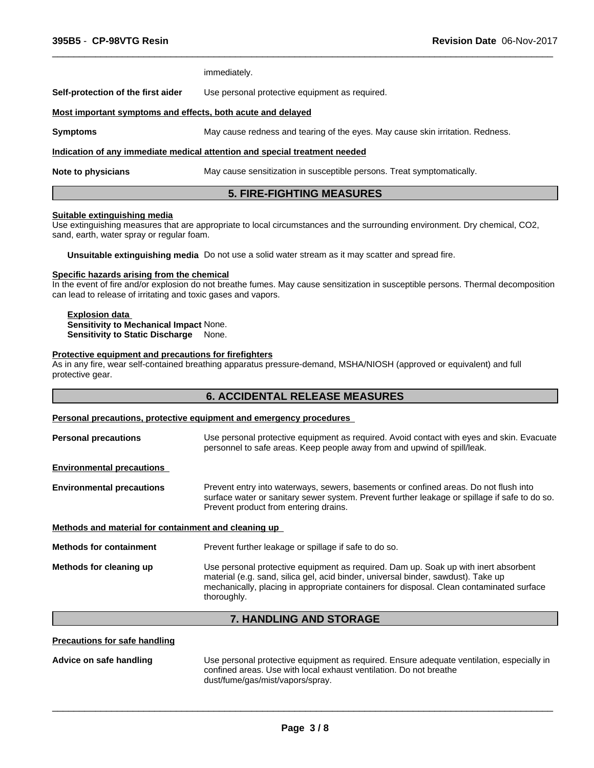|                                                             | <b>5. FIRE-FIGHTING MEASURES</b>                                               |
|-------------------------------------------------------------|--------------------------------------------------------------------------------|
| <b>Note to physicians</b>                                   | May cause sensitization in susceptible persons. Treat symptomatically.         |
|                                                             | Indication of any immediate medical attention and special treatment needed     |
| <b>Symptoms</b>                                             | May cause redness and tearing of the eyes. May cause skin irritation. Redness. |
| Most important symptoms and effects, both acute and delayed |                                                                                |
| Self-protection of the first aider                          | Use personal protective equipment as required.                                 |
|                                                             | immediately.                                                                   |

 $\overline{\phantom{a}}$  ,  $\overline{\phantom{a}}$  ,  $\overline{\phantom{a}}$  ,  $\overline{\phantom{a}}$  ,  $\overline{\phantom{a}}$  ,  $\overline{\phantom{a}}$  ,  $\overline{\phantom{a}}$  ,  $\overline{\phantom{a}}$  ,  $\overline{\phantom{a}}$  ,  $\overline{\phantom{a}}$  ,  $\overline{\phantom{a}}$  ,  $\overline{\phantom{a}}$  ,  $\overline{\phantom{a}}$  ,  $\overline{\phantom{a}}$  ,  $\overline{\phantom{a}}$  ,  $\overline{\phantom{a}}$ 

#### **Suitable extinguishing media**

Use extinguishing measures that are appropriate to local circumstances and the surrounding environment. Dry chemical, CO2, sand, earth, water spray or regular foam.

**Unsuitable extinguishing media** Do not use a solid water stream as it may scatter and spread fire.

#### **Specific hazards arising from the chemical**

In the event of fire and/or explosion do not breathe fumes. May cause sensitization in susceptible persons. Thermal decomposition can lead to release of irritating and toxic gases and vapors.

#### **Explosion data Sensitivity to Mechanical Impact** None. **Sensitivity to Static Discharge** None.

#### **Protective equipment and precautions for firefighters**

As in any fire, wear self-contained breathing apparatus pressure-demand, MSHA/NIOSH (approved or equivalent) and full protective gear.

# **6. ACCIDENTAL RELEASE MEASURES**

# **Personal precautions, protective equipment and emergency procedures**

| Use personal protective equipment as required. Avoid contact with eyes and skin. Evacuate<br>personnel to safe areas. Keep people away from and upwind of spill/leak.                                                                                                               |
|-------------------------------------------------------------------------------------------------------------------------------------------------------------------------------------------------------------------------------------------------------------------------------------|
|                                                                                                                                                                                                                                                                                     |
| Prevent entry into waterways, sewers, basements or confined areas. Do not flush into<br>surface water or sanitary sewer system. Prevent further leakage or spillage if safe to do so.<br>Prevent product from entering drains.                                                      |
| Methods and material for containment and cleaning up                                                                                                                                                                                                                                |
| Prevent further leakage or spillage if safe to do so.                                                                                                                                                                                                                               |
| Use personal protective equipment as required. Dam up. Soak up with inert absorbent<br>material (e.g. sand, silica gel, acid binder, universal binder, sawdust). Take up<br>mechanically, placing in appropriate containers for disposal. Clean contaminated surface<br>thoroughly. |
|                                                                                                                                                                                                                                                                                     |

# **7. HANDLING AND STORAGE**

# **Precautions for safe handling**

**Advice on safe handling** Use personal protective equipment as required. Ensure adequate ventilation, especially in confined areas. Use with local exhaust ventilation. Do not breathe dust/fume/gas/mist/vapors/spray.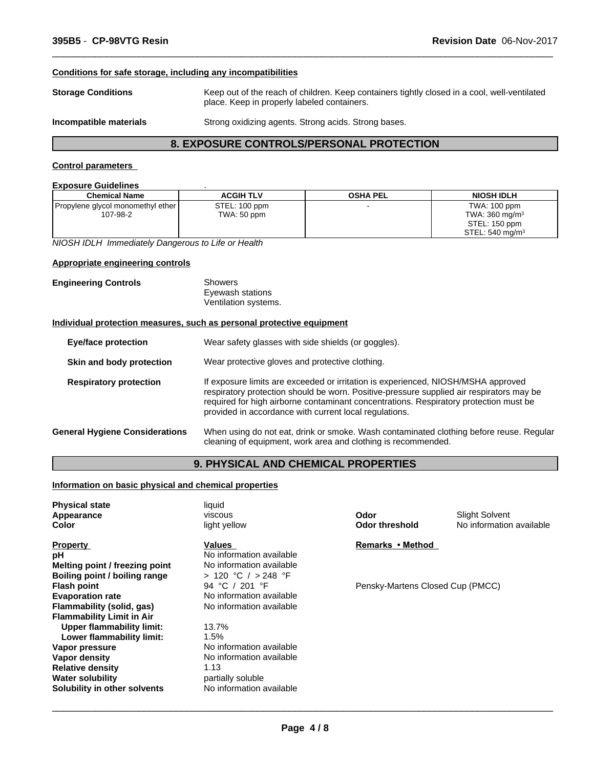# **Conditions for safe storage, including any incompatibilities**

**Storage Conditions** Keep out of the reach of children. Keep containers tightly closed in a cool, well-ventilated place. Keep in properly labeled containers.

 $\overline{\phantom{a}}$  ,  $\overline{\phantom{a}}$  ,  $\overline{\phantom{a}}$  ,  $\overline{\phantom{a}}$  ,  $\overline{\phantom{a}}$  ,  $\overline{\phantom{a}}$  ,  $\overline{\phantom{a}}$  ,  $\overline{\phantom{a}}$  ,  $\overline{\phantom{a}}$  ,  $\overline{\phantom{a}}$  ,  $\overline{\phantom{a}}$  ,  $\overline{\phantom{a}}$  ,  $\overline{\phantom{a}}$  ,  $\overline{\phantom{a}}$  ,  $\overline{\phantom{a}}$  ,  $\overline{\phantom{a}}$ 

**Incompatible materials** Strong oxidizing agents. Strong acids. Strong bases.

# **8. EXPOSURE CONTROLS/PERSONAL PROTECTION**

## **Control parameters**

#### **Exposure Guidelines** .

| -------------------------                |                  |                 |                             |
|------------------------------------------|------------------|-----------------|-----------------------------|
| <b>Chemical Name</b>                     | <b>ACGIH TLV</b> | <b>OSHA PEL</b> | NIOSH IDLH                  |
| <b>Propylene glycol monomethyl ether</b> | STEL: 100 ppm    |                 | TWA: 100 ppm                |
| 107-98-2                                 | TWA: 50 ppm      |                 | TWA: $360 \text{ mg/m}^3$   |
|                                          |                  |                 | STEL: 150 ppm               |
|                                          |                  |                 | STEL: 540 mg/m <sup>3</sup> |

*NIOSH IDLH Immediately Dangerous to Life or Health*

# **Appropriate engineering controls**

| <b>Engineering Controls</b> | Showers              |  |
|-----------------------------|----------------------|--|
|                             | Eyewash stations     |  |
|                             | Ventilation systems. |  |

#### **Individual protection measures, such as personal protective equipment**

| <b>Eye/face protection</b>            | Wear safety glasses with side shields (or goggles).                                                                                                                                                                                                                                                                              |
|---------------------------------------|----------------------------------------------------------------------------------------------------------------------------------------------------------------------------------------------------------------------------------------------------------------------------------------------------------------------------------|
| Skin and body protection              | Wear protective gloves and protective clothing.                                                                                                                                                                                                                                                                                  |
| <b>Respiratory protection</b>         | If exposure limits are exceeded or irritation is experienced, NIOSH/MSHA approved<br>respiratory protection should be worn. Positive-pressure supplied air respirators may be<br>required for high airborne contaminant concentrations. Respiratory protection must be<br>provided in accordance with current local regulations. |
| <b>General Hygiene Considerations</b> | When using do not eat, drink or smoke. Wash contaminated clothing before reuse. Regular<br>cleaning of equipment, work area and clothing is recommended.                                                                                                                                                                         |

# **9. PHYSICAL AND CHEMICAL PROPERTIES**

# **Information on basic physical and chemical properties**

| <b>Physical state</b><br>Appearance | liquid<br>viscous        | Odor                             | <b>Slight Solvent</b>    |
|-------------------------------------|--------------------------|----------------------------------|--------------------------|
| Color                               | light yellow             | <b>Odor threshold</b>            | No information available |
| <b>Property</b>                     | Values                   | Remarks • Method                 |                          |
| рH                                  | No information available |                                  |                          |
| Melting point / freezing point      | No information available |                                  |                          |
| Boiling point / boiling range       | > 120 °C / > 248 °F      |                                  |                          |
| Flash point                         | 94 °C / 201 °F           | Pensky-Martens Closed Cup (PMCC) |                          |
| <b>Evaporation rate</b>             | No information available |                                  |                          |
| Flammability (solid, gas)           | No information available |                                  |                          |
| <b>Flammability Limit in Air</b>    |                          |                                  |                          |
| Upper flammability limit:           | 13.7%                    |                                  |                          |
| Lower flammability limit:           | 1.5%                     |                                  |                          |
| Vapor pressure                      | No information available |                                  |                          |
| Vapor density                       | No information available |                                  |                          |
| <b>Relative density</b>             | 1.13                     |                                  |                          |
| Water solubility                    | partially soluble        |                                  |                          |
| Solubility in other solvents        | No information available |                                  |                          |
|                                     |                          |                                  |                          |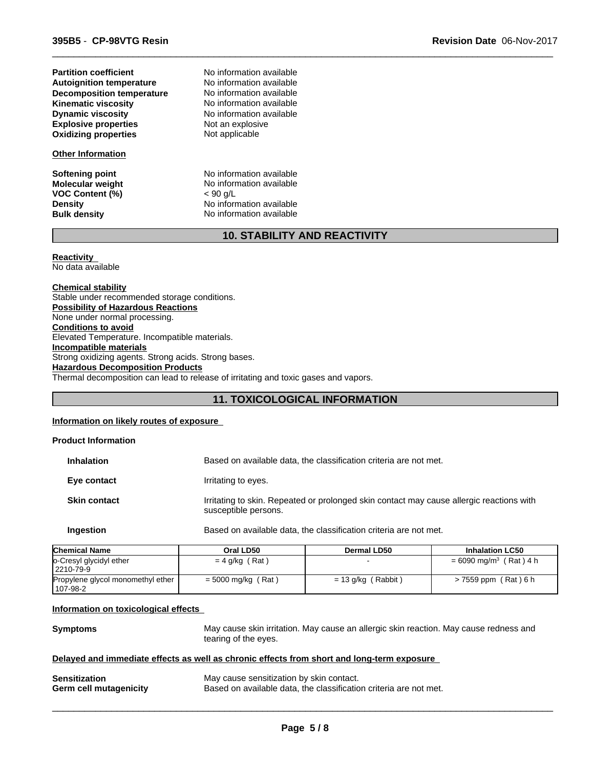**Explosive properties** Not an explosive<br> **Oxidizing properties** Not applicable **Oxidizing properties Kinematic viscosity** No information available **Dynamic viscosity** No information available **Autoignition temperature** No information available<br> **Decomposition temperature** No information available **Partition coefficient Decomposition temperature** 

# **Other Information**

**VOC Content (%)** < 90 g/L

No information available

**Softening point** No information available **Molecular weight** No information available **Density** No information available **Bulk density** No information available

# **10. STABILITY AND REACTIVITY**

 $\overline{\phantom{a}}$  ,  $\overline{\phantom{a}}$  ,  $\overline{\phantom{a}}$  ,  $\overline{\phantom{a}}$  ,  $\overline{\phantom{a}}$  ,  $\overline{\phantom{a}}$  ,  $\overline{\phantom{a}}$  ,  $\overline{\phantom{a}}$  ,  $\overline{\phantom{a}}$  ,  $\overline{\phantom{a}}$  ,  $\overline{\phantom{a}}$  ,  $\overline{\phantom{a}}$  ,  $\overline{\phantom{a}}$  ,  $\overline{\phantom{a}}$  ,  $\overline{\phantom{a}}$  ,  $\overline{\phantom{a}}$ 

# **Reactivity**

No data available

**Chemical stability** Stable under recommended storage conditions. **Possibility of Hazardous Reactions** None under normal processing. **Conditions to avoid** Elevated Temperature. Incompatible materials. **Incompatible materials** Strong oxidizing agents. Strong acids. Strong bases. **Hazardous Decomposition Products** Thermal decomposition can lead to release of irritating and toxic gases and vapors.

# **11. TOXICOLOGICAL INFORMATION**

# **Information on likely routes of exposure**

| <b>Product Information</b> |                                                                                                                  |                                                                   |                        |  |
|----------------------------|------------------------------------------------------------------------------------------------------------------|-------------------------------------------------------------------|------------------------|--|
| <b>Inhalation</b>          |                                                                                                                  | Based on available data, the classification criteria are not met. |                        |  |
| Eye contact                | Irritating to eyes.                                                                                              |                                                                   |                        |  |
| <b>Skin contact</b>        | Irritating to skin. Repeated or prolonged skin contact may cause allergic reactions with<br>susceptible persons. |                                                                   |                        |  |
| <b>Ingestion</b>           |                                                                                                                  | Based on available data, the classification criteria are not met. |                        |  |
| <b>Chemical Name</b>       | Oral LD50                                                                                                        | Dermal LD50                                                       | <b>Inhalation LC50</b> |  |

| <b>IGNEMICAL NAME</b>                  | urai LDou            | Dermal LD30               | innaiation LC50                      |
|----------------------------------------|----------------------|---------------------------|--------------------------------------|
| o-Cresyl glycidyl ether<br>  2210-79-9 | $= 4$ g/kg (Rat)     |                           | $= 6090$ mg/m <sup>3</sup> (Rat) 4 h |
| Propylene glycol monomethyl ether      | $=$ 5000 mg/kg (Rat) | (Rabbit)<br>$= 13$ g/kg ( | $> 7559$ ppm (Rat) 6 h               |
| 107-98-2                               |                      |                           |                                      |

## **Information on toxicological effects**

| <b>Symptoms</b> | May cause skin irritation. May cause an allergic skin reaction. May cause redness and |
|-----------------|---------------------------------------------------------------------------------------|
|                 | tearing of the eyes.                                                                  |

# **Delayed and immediate effects as well as chronic effects from short and long-term exposure**

| <b>Sensitization</b>          | May cause sensitization by skin contact.                          |
|-------------------------------|-------------------------------------------------------------------|
| <b>Germ cell mutagenicity</b> | Based on available data, the classification criteria are not met. |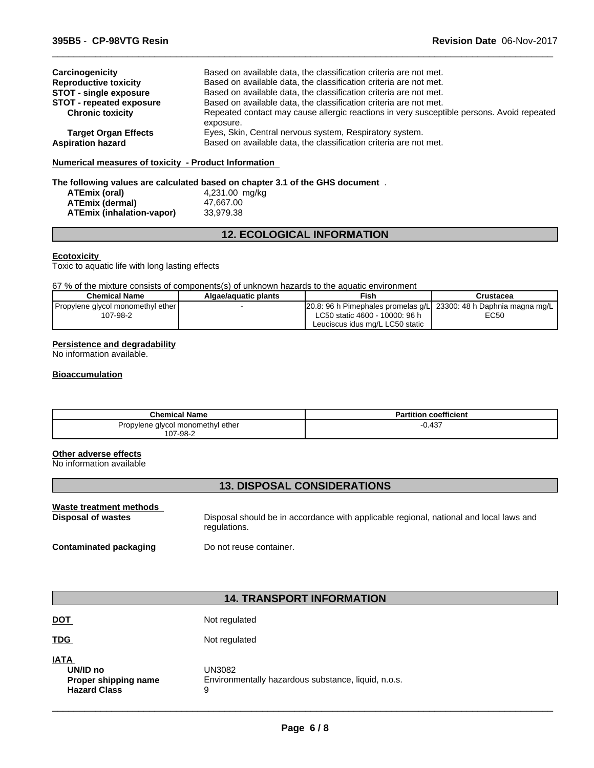| Carcinogenicity                 | Based on available data, the classification criteria are not met.                         |
|---------------------------------|-------------------------------------------------------------------------------------------|
| <b>Reproductive toxicity</b>    | Based on available data, the classification criteria are not met.                         |
| <b>STOT - single exposure</b>   | Based on available data, the classification criteria are not met.                         |
| <b>STOT - repeated exposure</b> | Based on available data, the classification criteria are not met.                         |
| <b>Chronic toxicity</b>         | Repeated contact may cause allergic reactions in very susceptible persons. Avoid repeated |
|                                 | exposure.                                                                                 |
| <b>Target Organ Effects</b>     | Eyes, Skin, Central nervous system, Respiratory system.                                   |
| <b>Aspiration hazard</b>        | Based on available data, the classification criteria are not met.                         |

 $\overline{\phantom{a}}$  ,  $\overline{\phantom{a}}$  ,  $\overline{\phantom{a}}$  ,  $\overline{\phantom{a}}$  ,  $\overline{\phantom{a}}$  ,  $\overline{\phantom{a}}$  ,  $\overline{\phantom{a}}$  ,  $\overline{\phantom{a}}$  ,  $\overline{\phantom{a}}$  ,  $\overline{\phantom{a}}$  ,  $\overline{\phantom{a}}$  ,  $\overline{\phantom{a}}$  ,  $\overline{\phantom{a}}$  ,  $\overline{\phantom{a}}$  ,  $\overline{\phantom{a}}$  ,  $\overline{\phantom{a}}$ 

# **Numerical measures of toxicity - Product Information**

# **The following values are calculated based on chapter 3.1 of the GHS document** .

| ATEmix (oral)             | 4,231.00 mg/kg |
|---------------------------|----------------|
| <b>ATEmix (dermal)</b>    | 47.667.00      |
| ATEmix (inhalation-vapor) | 33.979.38      |

# **12. ECOLOGICAL INFORMATION**

## **Ecotoxicity**

Toxic to aquatic life with long lasting effects

67 % of the mixture consists of components(s) of unknown hazards to the aquatic environment

| <b>Chemical Name</b>                | Algae/aguatic plants | Fish                                                                              | Crustacea |
|-------------------------------------|----------------------|-----------------------------------------------------------------------------------|-----------|
| Propylene glycol monomethyl ether ! |                      | $\vert 20.8:$ 96 h Pimephales promelas q/L $\vert 23300:$ 48 h Daphnia magna mg/L |           |
| 107-98-2                            |                      | LC50 static 4600 - 10000: 96 h                                                    | EC50      |
|                                     |                      | Leuciscus idus mg/L LC50 static                                                   |           |

# **Persistence and degradability**

No information available.

# **Bioaccumulation**

| <b>Chemical Name</b>                          | <b>Partition coefficient</b> |
|-----------------------------------------------|------------------------------|
| Propylene glycol monomethyl ether<br>107-98-2 | $-0.437$                     |

# **Other adverse effects**

No information available

# **13. DISPOSAL CONSIDERATIONS**

| Waste treatment methods       | Disposal should be in accordance with applicable regional, national and local laws and |
|-------------------------------|----------------------------------------------------------------------------------------|
| Disposal of wastes            | regulations.                                                                           |
| <b>Contaminated packaging</b> | Do not reuse container.                                                                |

# **14. TRANSPORT INFORMATION**

| <b>IATA</b><br>UN/ID no<br>Proper shipping name<br><b>Hazard Class</b> | UN3082<br>Environmentally hazardous substance, liquid, n.o.s.<br>9 |
|------------------------------------------------------------------------|--------------------------------------------------------------------|
| <b>TDG</b>                                                             | Not regulated                                                      |
| <b>DOT</b>                                                             | Not regulated                                                      |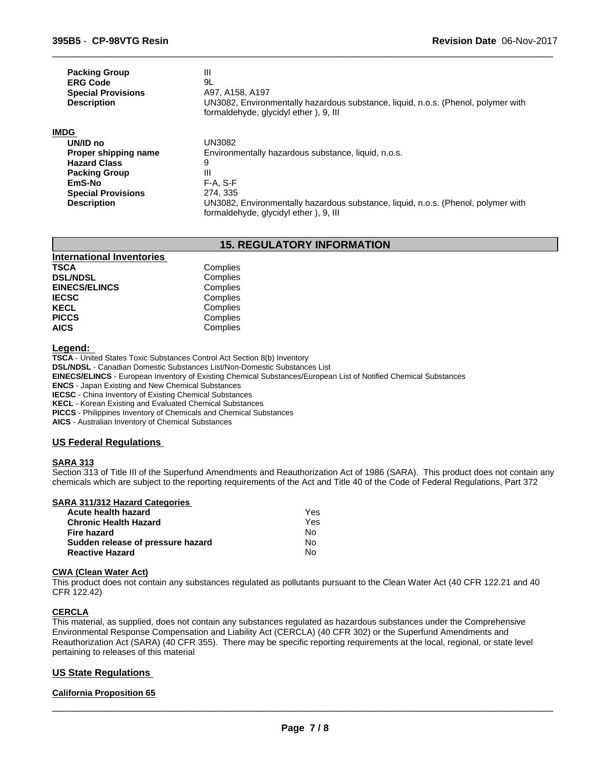| <b>Packing Group</b><br><b>ERG Code</b><br><b>Special Provisions</b><br><b>Description</b> | Ш<br>9L<br>A97, A158, A197<br>UN3082, Environmentally hazardous substance, liquid, n.o.s. (Phenol, polymer with            |
|--------------------------------------------------------------------------------------------|----------------------------------------------------------------------------------------------------------------------------|
|                                                                                            | formaldehyde, glycidyl ether), 9, III                                                                                      |
| <b>IMDG</b>                                                                                |                                                                                                                            |
| UN/ID no                                                                                   | <b>UN3082</b>                                                                                                              |
| Proper shipping name                                                                       | Environmentally hazardous substance, liquid, n.o.s.                                                                        |
| <b>Hazard Class</b>                                                                        | 9                                                                                                                          |
| <b>Packing Group</b>                                                                       | Ш                                                                                                                          |
| EmS-No                                                                                     | $F-A. S-F$                                                                                                                 |
| <b>Special Provisions</b>                                                                  | 274, 335                                                                                                                   |
| <b>Description</b>                                                                         | UN3082, Environmentally hazardous substance, liquid, n.o.s. (Phenol, polymer with<br>formaldehyde, glycidyl ether), 9, III |

 $\overline{\phantom{a}}$  ,  $\overline{\phantom{a}}$  ,  $\overline{\phantom{a}}$  ,  $\overline{\phantom{a}}$  ,  $\overline{\phantom{a}}$  ,  $\overline{\phantom{a}}$  ,  $\overline{\phantom{a}}$  ,  $\overline{\phantom{a}}$  ,  $\overline{\phantom{a}}$  ,  $\overline{\phantom{a}}$  ,  $\overline{\phantom{a}}$  ,  $\overline{\phantom{a}}$  ,  $\overline{\phantom{a}}$  ,  $\overline{\phantom{a}}$  ,  $\overline{\phantom{a}}$  ,  $\overline{\phantom{a}}$ 

# **15. REGULATORY INFORMATION**

| <b>International Inventories</b> |          |  |
|----------------------------------|----------|--|
| <b>TSCA</b>                      | Complies |  |
| <b>DSL/NDSL</b>                  | Complies |  |
| <b>EINECS/ELINCS</b>             | Complies |  |
| <b>IECSC</b>                     | Complies |  |
| <b>KECL</b>                      | Complies |  |
| <b>PICCS</b>                     | Complies |  |
| <b>AICS</b>                      | Complies |  |

**Legend:** 

**TSCA** - United States Toxic Substances Control Act Section 8(b) Inventory **DSL/NDSL** - Canadian Domestic Substances List/Non-Domestic Substances List **EINECS/ELINCS** - European Inventory of Existing Chemical Substances/European List of Notified Chemical Substances **ENCS** - Japan Existing and New Chemical Substances **IECSC** - China Inventory of Existing Chemical Substances **KECL** - Korean Existing and Evaluated Chemical Substances **PICCS** - Philippines Inventory of Chemicals and Chemical Substances

**AICS** - Australian Inventory of Chemical Substances

# **US Federal Regulations**

#### **SARA 313**

Section 313 of Title III of the Superfund Amendments and Reauthorization Act of 1986 (SARA). This product does not contain any chemicals which are subject to the reporting requirements of the Act and Title 40 of the Code of Federal Regulations, Part 372

# **SARA 311/312 Hazard Categories**

| Acute health hazard               | Yes |  |
|-----------------------------------|-----|--|
| Chronic Health Hazard             | Yes |  |
| Fire hazard                       | N٥  |  |
| Sudden release of pressure hazard | No. |  |
| Reactive Hazard                   | Nο  |  |

#### **CWA (Clean Water Act)**

This product does not contain any substances regulated as pollutants pursuant to the Clean Water Act (40 CFR 122.21 and 40 CFR 122.42)

#### **CERCLA**

This material, as supplied, does not contain any substances regulated as hazardous substances under the Comprehensive Environmental Response Compensation and Liability Act (CERCLA) (40 CFR 302) or the Superfund Amendments and Reauthorization Act (SARA) (40 CFR 355). There may be specific reporting requirements at the local, regional, or state level pertaining to releases of this material

# **US State Regulations**

## **California Proposition 65**